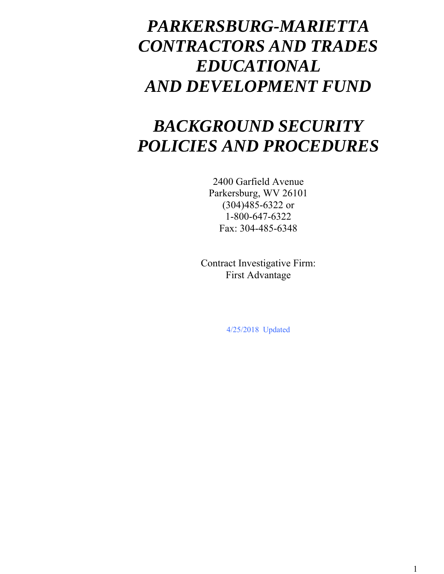## *PARKERSBURG-MARIETTA CONTRACTORS AND TRADES EDUCATIONAL AND DEVELOPMENT FUND*

## *BACKGROUND SECURITY POLICIES AND PROCEDURES*

2400 Garfield Avenue Parkersburg, WV 26101 (304)485-6322 or 1-800-647-6322 Fax: 304-485-6348

Contract Investigative Firm: First Advantage

4/25/2018 Updated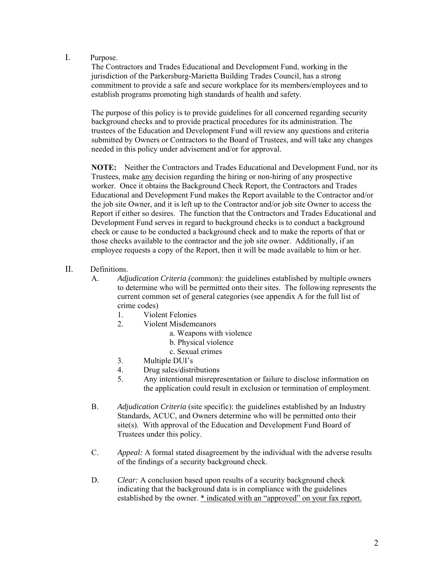I. Purpose.

The Contractors and Trades Educational and Development Fund, working in the jurisdiction of the Parkersburg-Marietta Building Trades Council, has a strong commitment to provide a safe and secure workplace for its members/employees and to establish programs promoting high standards of health and safety.

The purpose of this policy is to provide guidelines for all concerned regarding security background checks and to provide practical procedures for its administration. The trustees of the Education and Development Fund will review any questions and criteria submitted by Owners or Contractors to the Board of Trustees, and will take any changes needed in this policy under advisement and/or for approval.

**NOTE:** Neither the Contractors and Trades Educational and Development Fund, nor its Trustees, make any decision regarding the hiring or non-hiring of any prospective worker. Once it obtains the Background Check Report, the Contractors and Trades Educational and Development Fund makes the Report available to the Contractor and/or the job site Owner, and it is left up to the Contractor and/or job site Owner to access the Report if either so desires. The function that the Contractors and Trades Educational and Development Fund serves in regard to background checks is to conduct a background check or cause to be conducted a background check and to make the reports of that or those checks available to the contractor and the job site owner. Additionally, if an employee requests a copy of the Report, then it will be made available to him or her.

- II. Definitions.
	- A. *Adjudication Criteria (*common): the guidelines established by multiple owners to determine who will be permitted onto their sites. The following represents the current common set of general categories (see appendix A for the full list of crime codes)
		- 1. Violent Felonies
		- 2. Violent Misdemeanors
			- a. Weapons with violence
			- b. Physical violence
			- c. Sexual crimes
		- 3. Multiple DUI's
		- 4. Drug sales/distributions<br>5. Any intentional misrepre
			- 5. Any intentional misrepresentation or failure to disclose information on the application could result in exclusion or termination of employment.
	- B. *Adjudication Criteria* (site specific): the guidelines established by an Industry Standards, ACUC, and Owners determine who will be permitted onto their site(s).With approval of the Education and Development Fund Board of Trustees under this policy.
	- C. *Appeal:* A formal stated disagreement by the individual with the adverse results of the findings of a security background check.
	- D. *Clear:* A conclusion based upon results of a security background check indicating that the background data is in compliance with the guidelines established by the owner. \* indicated with an "approved" on your fax report.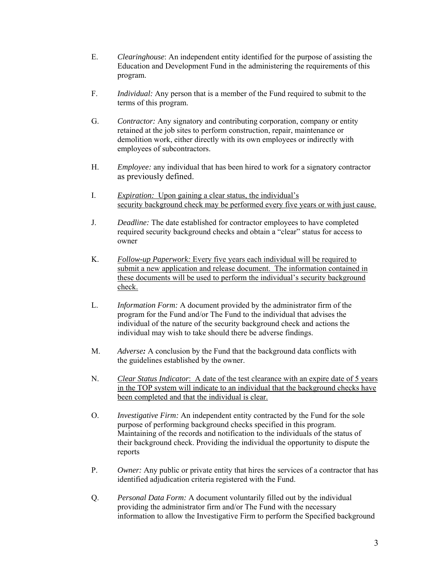- E. *Clearinghouse*: An independent entity identified for the purpose of assisting the Education and Development Fund in the administering the requirements of this program.
- F. *Individual:* Any person that is a member of the Fund required to submit to the terms of this program.
- G. *Contractor:* Any signatory and contributing corporation, company or entity retained at the job sites to perform construction, repair, maintenance or demolition work, either directly with its own employees or indirectly with employees of subcontractors.
- H. *Employee:* any individual that has been hired to work for a signatory contractor as previously defined.
- I. *Expiration:* Upon gaining a clear status, the individual's security background check may be performed every five years or with just cause.
- J. *Deadline:* The date established for contractor employees to have completed required security background checks and obtain a "clear" status for access to owner
- K. *Follow-up Paperwork:* Every five years each individual will be required to submit a new application and release document. The information contained in these documents will be used to perform the individual's security background check.
- L. *Information Form:* A document provided by the administrator firm of the program for the Fund and/or The Fund to the individual that advises the individual of the nature of the security background check and actions the individual may wish to take should there be adverse findings.
- M. *Adverse:* A conclusion by the Fund that the background data conflicts with the guidelines established by the owner.
- N. *Clear Status Indicator*:A date of the test clearance with an expire date of 5 years in the TOP system will indicate to an individual that the background checks have been completed and that the individual is clear.
- O. *Investigative Firm:* An independent entity contracted by the Fund for the sole purpose of performing background checks specified in this program. Maintaining of the records and notification to the individuals of the status of their background check. Providing the individual the opportunity to dispute the reports
- P. *Owner:* Any public or private entity that hires the services of a contractor that has identified adjudication criteria registered with the Fund.
- Q. *Personal Data Form:* A document voluntarily filled out by the individual providing the administrator firm and/or The Fund with the necessary information to allow the Investigative Firm to perform the Specified background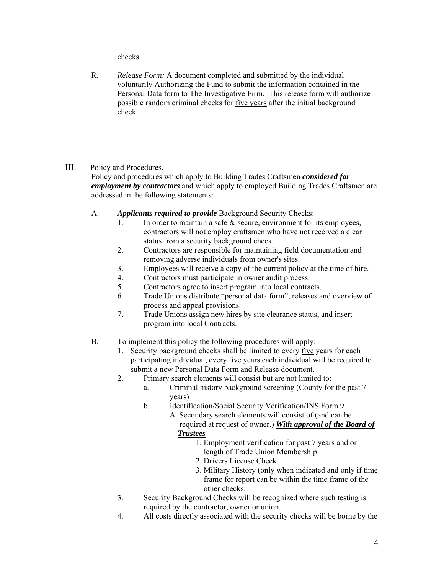checks.

 R. *Release Form:* A document completed and submitted by the individual voluntarily Authorizing the Fund to submit the information contained in the Personal Data form to The Investigative Firm. This release form will authorize possible random criminal checks for five years after the initial background check.

## III. Policy and Procedures.

Policy and procedures which apply to Building Trades Craftsmen *considered for employment by contractors* and which apply to employed Building Trades Craftsmen are addressed in the following statements:

- A. *Applicants required to provide* Background Security Checks:
	- 1. In order to maintain a safe  $\&$  secure, environment for its employees, contractors will not employ craftsmen who have not received a clear status from a security background check.
	- 2. Contractors are responsible for maintaining field documentation and removing adverse individuals from owner's sites.
	- 3. Employees will receive a copy of the current policy at the time of hire.
	- 4. Contractors must participate in owner audit process.
	- 5. Contractors agree to insert program into local contracts.
	- 6. Trade Unions distribute "personal data form", releases and overview of process and appeal provisions.
	- 7. Trade Unions assign new hires by site clearance status, and insert program into local Contracts.
- B. To implement this policy the following procedures will apply:
	- 1. Security background checks shall be limited to every five years for each participating individual, every five years each individual will be required to submit a new Personal Data Form and Release document.
	- 2. Primary search elements will consist but are not limited to:
		- a. Criminal history background screening (County for the past 7 years)
		- b. Identification/Social Security Verification/INS Form 9
			- A. Secondary search elements will consist of (and can be required at request of owner.) *With approval of the Board of*

## *Trustees*

- 1. Employment verification for past 7 years and or length of Trade Union Membership.
- 2. Drivers License Check
- 3. Military History (only when indicated and only if time frame for report can be within the time frame of the other checks.
- 3. Security Background Checks will be recognized where such testing is required by the contractor, owner or union.
- 4. All costs directly associated with the security checks will be borne by the